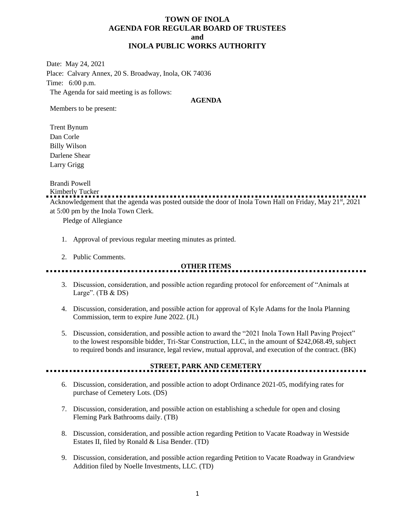### **TOWN OF INOLA AGENDA FOR REGULAR BOARD OF TRUSTEES and INOLA PUBLIC WORKS AUTHORITY**

Date: May 24, 2021 Place: Calvary Annex, 20 S. Broadway, Inola, OK 74036 Time: 6:00 p.m. The Agenda for said meeting is as follows:

#### **AGENDA**

Members to be present:

Trent Bynum Dan Corle Billy Wilson Darlene Shear Larry Grigg

Brandi Powell

Kimberly Tucker

Acknowledgement that the agenda was posted outside the door of Inola Town Hall on Friday, May 21<sup>st</sup>, 2021 at 5:00 pm by the Inola Town Clerk.

Pledge of Allegiance

- 1. Approval of previous regular meeting minutes as printed.
- 2. Public Comments.

### **OTHER ITEMS**

- 3. Discussion, consideration, and possible action regarding protocol for enforcement of "Animals at Large".  $(TB & DS)$
- 4. Discussion, consideration, and possible action for approval of Kyle Adams for the Inola Planning Commission, term to expire June 2022. (JL)
- 5. Discussion, consideration, and possible action to award the "2021 Inola Town Hall Paving Project" to the lowest responsible bidder, Tri-Star Construction, LLC, in the amount of \$242,068.49, subject to required bonds and insurance, legal review, mutual approval, and execution of the contract. (BK)

### **STREET, PARK AND CEMETERY**

<u>......................</u>

- 6. Discussion, consideration, and possible action to adopt Ordinance 2021-05, modifying rates for purchase of Cemetery Lots. (DS)
- 7. Discussion, consideration, and possible action on establishing a schedule for open and closing Fleming Park Bathrooms daily. (TB)
- 8. Discussion, consideration, and possible action regarding Petition to Vacate Roadway in Westside Estates II, filed by Ronald & Lisa Bender. (TD)
- 9. Discussion, consideration, and possible action regarding Petition to Vacate Roadway in Grandview Addition filed by Noelle Investments, LLC. (TD)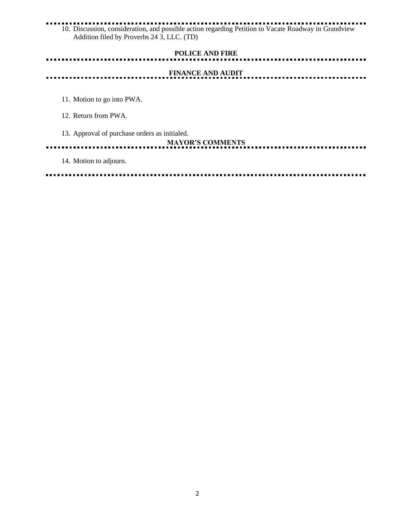#### Ō. 10. Discussion, consideration, and possible action regarding Petition to Vacate Roadway in Grandview Addition filed by Proverbs 24 3, LLC. (TD)

## **POLICE AND FIRE FINANCE AND AUDIT** 11. Motion to go into PWA. 12. Return from PWA. 13. Approval of purchase orders as initialed. **MAYOR'S COMMENTS** . . . . . . . . . . . . . . . . . . . . . . . . . . . . .

14. Motion to adjourn.

----. . . . . .